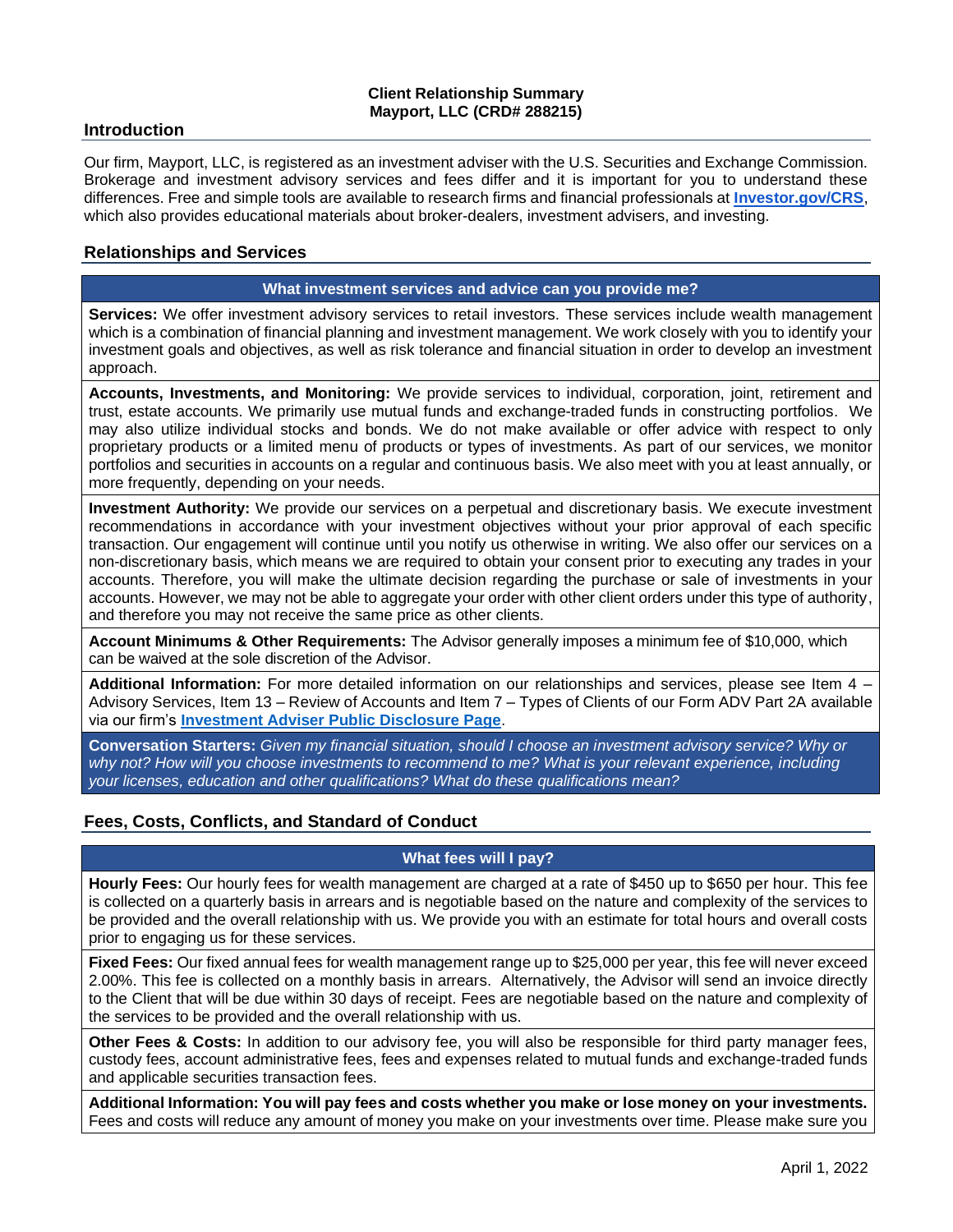## **Client Relationship Summary Mayport, LLC (CRD# 288215)**

### **Introduction**

Our firm, Mayport, LLC, is registered as an investment adviser with the U.S. Securities and Exchange Commission. Brokerage and investment advisory services and fees differ and it is important for you to understand these differences. Free and simple tools are available to research firms and financial professionals at **[Investor.gov/CRS](http://investor.gov/CRS)**, which also provides educational materials about broker-dealers, investment advisers, and investing.

## **Relationships and Services**

### **What investment services and advice can you provide me?**

**Services:** We offer investment advisory services to retail investors. These services include wealth management which is a combination of financial planning and investment management. We work closely with you to identify your investment goals and objectives, as well as risk tolerance and financial situation in order to develop an investment approach.

**Accounts, Investments, and Monitoring:** We provide services to individual, corporation, joint, retirement and trust, estate accounts. We primarily use mutual funds and exchange-traded funds in constructing portfolios. We may also utilize individual stocks and bonds. We do not make available or offer advice with respect to only proprietary products or a limited menu of products or types of investments. As part of our services, we monitor portfolios and securities in accounts on a regular and continuous basis. We also meet with you at least annually, or more frequently, depending on your needs.

**Investment Authority:** We provide our services on a perpetual and discretionary basis. We execute investment recommendations in accordance with your investment objectives without your prior approval of each specific transaction. Our engagement will continue until you notify us otherwise in writing. We also offer our services on a non-discretionary basis, which means we are required to obtain your consent prior to executing any trades in your accounts. Therefore, you will make the ultimate decision regarding the purchase or sale of investments in your accounts. However, we may not be able to aggregate your order with other client orders under this type of authority, and therefore you may not receive the same price as other clients.

**Account Minimums & Other Requirements:** The Advisor generally imposes a minimum fee of \$10,000, which can be waived at the sole discretion of the Advisor.

**Additional Information:** For more detailed information on our relationships and services, please see Item 4 – Advisory Services, Item 13 – Review of Accounts and Item 7 – Types of Clients of our Form ADV Part 2A available via our firm's **[Investment Adviser Public Disclosure Page](https://adviserinfo.sec.gov/firm/summary/288215)**.

**Conversation Starters:** *Given my financial situation, should I choose an investment advisory service? Why or why not? How will you choose investments to recommend to me? What is your relevant experience, including your licenses, education and other qualifications? What do these qualifications mean?*

# **Fees, Costs, Conflicts, and Standard of Conduct**

### **What fees will I pay?**

**Hourly Fees:** Our hourly fees for wealth management are charged at a rate of \$450 up to \$650 per hour. This fee is collected on a quarterly basis in arrears and is negotiable based on the nature and complexity of the services to be provided and the overall relationship with us. We provide you with an estimate for total hours and overall costs prior to engaging us for these services.

**Fixed Fees:** Our fixed annual fees for wealth management range up to \$25,000 per year, this fee will never exceed 2.00%. This fee is collected on a monthly basis in arrears. Alternatively, the Advisor will send an invoice directly to the Client that will be due within 30 days of receipt. Fees are negotiable based on the nature and complexity of the services to be provided and the overall relationship with us.

**Other Fees & Costs:** In addition to our advisory fee, you will also be responsible for third party manager fees, custody fees, account administrative fees, fees and expenses related to mutual funds and exchange-traded funds and applicable securities transaction fees.

**Additional Information: You will pay fees and costs whether you make or lose money on your investments.**  Fees and costs will reduce any amount of money you make on your investments over time. Please make sure you